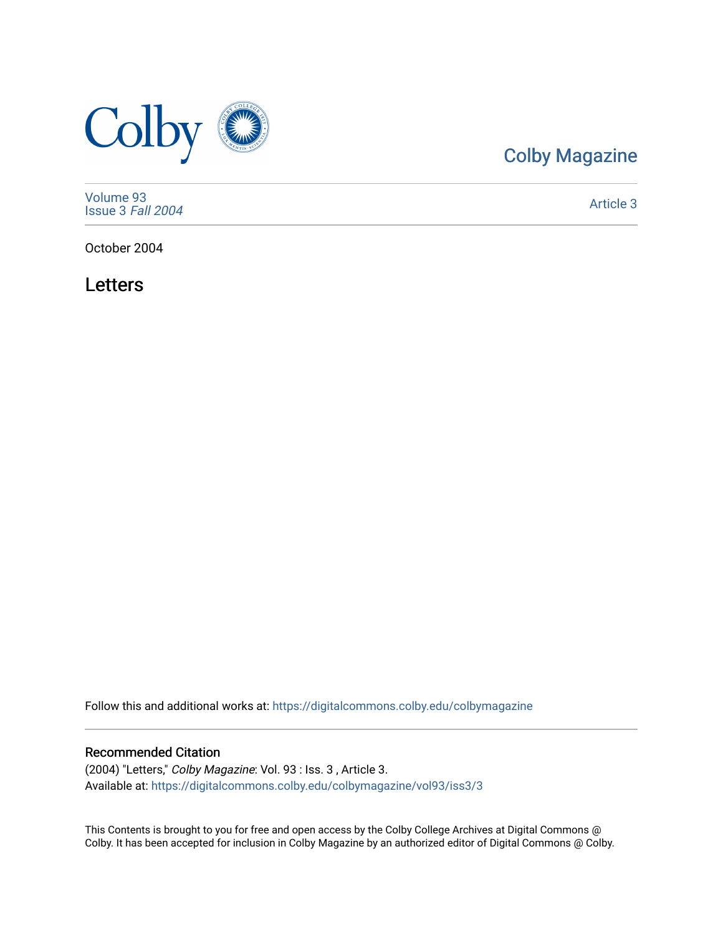

# [Colby Magazine](https://digitalcommons.colby.edu/colbymagazine)

[Volume 93](https://digitalcommons.colby.edu/colbymagazine/vol93) [Issue 3](https://digitalcommons.colby.edu/colbymagazine/vol93/iss3) Fall 2004

[Article 3](https://digitalcommons.colby.edu/colbymagazine/vol93/iss3/3) 

October 2004

Letters

Follow this and additional works at: [https://digitalcommons.colby.edu/colbymagazine](https://digitalcommons.colby.edu/colbymagazine?utm_source=digitalcommons.colby.edu%2Fcolbymagazine%2Fvol93%2Fiss3%2F3&utm_medium=PDF&utm_campaign=PDFCoverPages)

# Recommended Citation

(2004) "Letters," Colby Magazine: Vol. 93 : Iss. 3 , Article 3. Available at: [https://digitalcommons.colby.edu/colbymagazine/vol93/iss3/3](https://digitalcommons.colby.edu/colbymagazine/vol93/iss3/3?utm_source=digitalcommons.colby.edu%2Fcolbymagazine%2Fvol93%2Fiss3%2F3&utm_medium=PDF&utm_campaign=PDFCoverPages)

This Contents is brought to you for free and open access by the Colby College Archives at Digital Commons @ Colby. It has been accepted for inclusion in Colby Magazine by an authorized editor of Digital Commons @ Colby.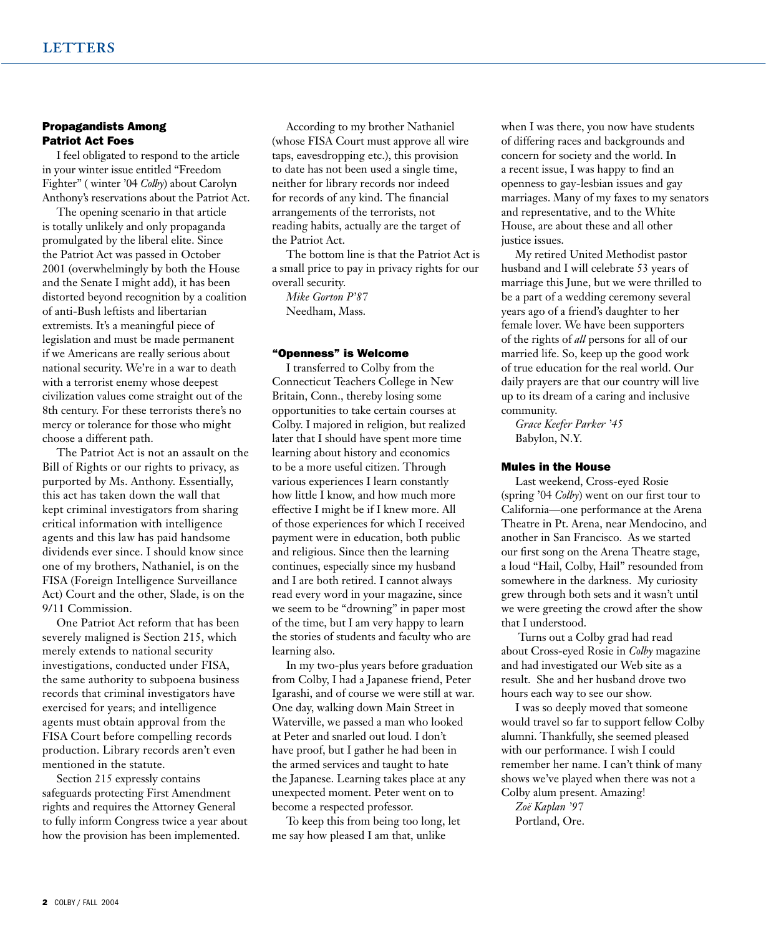#### Propagandists Among Patriot Act Foes

I feel obligated to respond to the article in your winter issue entitled "Freedom Fighter" ( winter '04 *Colby*) about Carolyn Anthony's reservations about the Patriot Act.

The opening scenario in that article is totally unlikely and only propaganda promulgated by the liberal elite. Since the Patriot Act was passed in October 2001 (overwhelmingly by both the House and the Senate I might add), it has been distorted beyond recognition by a coalition of anti-Bush leftists and libertarian extremists. It's a meaningful piece of legislation and must be made permanent if we Americans are really serious about national security. We're in a war to death with a terrorist enemy whose deepest civilization values come straight out of the 8th century. For these terrorists there's no mercy or tolerance for those who might choose a different path.

The Patriot Act is not an assault on the Bill of Rights or our rights to privacy, as purported by Ms. Anthony. Essentially, this act has taken down the wall that kept criminal investigators from sharing critical information with intelligence agents and this law has paid handsome dividends ever since. I should know since one of my brothers, Nathaniel, is on the FISA (Foreign Intelligence Surveillance Act) Court and the other, Slade, is on the 9/11 Commission.

One Patriot Act reform that has been severely maligned is Section 215, which merely extends to national security investigations, conducted under FISA, the same authority to subpoena business records that criminal investigators have exercised for years; and intelligence agents must obtain approval from the FISA Court before compelling records production. Library records aren't even mentioned in the statute.

Section 215 expressly contains safeguards protecting First Amendment rights and requires the Attorney General to fully inform Congress twice a year about how the provision has been implemented.

According to my brother Nathaniel (whose FISA Court must approve all wire taps, eavesdropping etc.), this provision to date has not been used a single time, neither for library records nor indeed for records of any kind. The financial arrangements of the terrorists, not reading habits, actually are the target of the Patriot Act.

The bottom line is that the Patriot Act is a small price to pay in privacy rights for our overall security.

*Mike Gorton P'87* Needham, Mass.

### "Openness" is Welcome

I transferred to Colby from the Connecticut Teachers College in New Britain, Conn., thereby losing some opportunities to take certain courses at Colby. I majored in religion, but realized later that I should have spent more time learning about history and economics to be a more useful citizen. Through various experiences I learn constantly how little I know, and how much more effective I might be if I knew more. All of those experiences for which I received payment were in education, both public and religious. Since then the learning continues, especially since my husband and I are both retired. I cannot always read every word in your magazine, since we seem to be "drowning" in paper most of the time, but I am very happy to learn the stories of students and faculty who are learning also.

In my two-plus years before graduation from Colby, I had a Japanese friend, Peter Igarashi, and of course we were still at war. One day, walking down Main Street in Waterville, we passed a man who looked at Peter and snarled out loud. I don't have proof, but I gather he had been in the armed services and taught to hate the Japanese. Learning takes place at any unexpected moment. Peter went on to become a respected professor.

To keep this from being too long, let me say how pleased I am that, unlike

when I was there, you now have students of differing races and backgrounds and concern for society and the world. In a recent issue, I was happy to find an openness to gay-lesbian issues and gay marriages. Many of my faxes to my senators and representative, and to the White House, are about these and all other justice issues.

My retired United Methodist pastor husband and I will celebrate 53 years of marriage this June, but we were thrilled to be a part of a wedding ceremony several years ago of a friend's daughter to her female lover. We have been supporters of the rights of *all* persons for all of our married life. So, keep up the good work of true education for the real world. Our daily prayers are that our country will live up to its dream of a caring and inclusive community.

*Grace Keefer Parker '45* Babylon, N.Y.

#### Mules in the House

Last weekend, Cross-eyed Rosie (spring '04 *Colby*) went on our first tour to California—one performance at the Arena Theatre in Pt. Arena, near Mendocino, and another in San Francisco. As we started our first song on the Arena Theatre stage, a loud "Hail, Colby, Hail" resounded from somewhere in the darkness. My curiosity grew through both sets and it wasn't until we were greeting the crowd after the show that I understood.

 Turns out a Colby grad had read about Cross-eyed Rosie in *Colby* magazine and had investigated our Web site as a result. She and her husband drove two hours each way to see our show.

I was so deeply moved that someone would travel so far to support fellow Colby alumni. Thankfully, she seemed pleased with our performance. I wish I could remember her name. I can't think of many shows we've played when there was not a Colby alum present. Amazing!

*Zoë Kaplan '97* Portland, Ore.